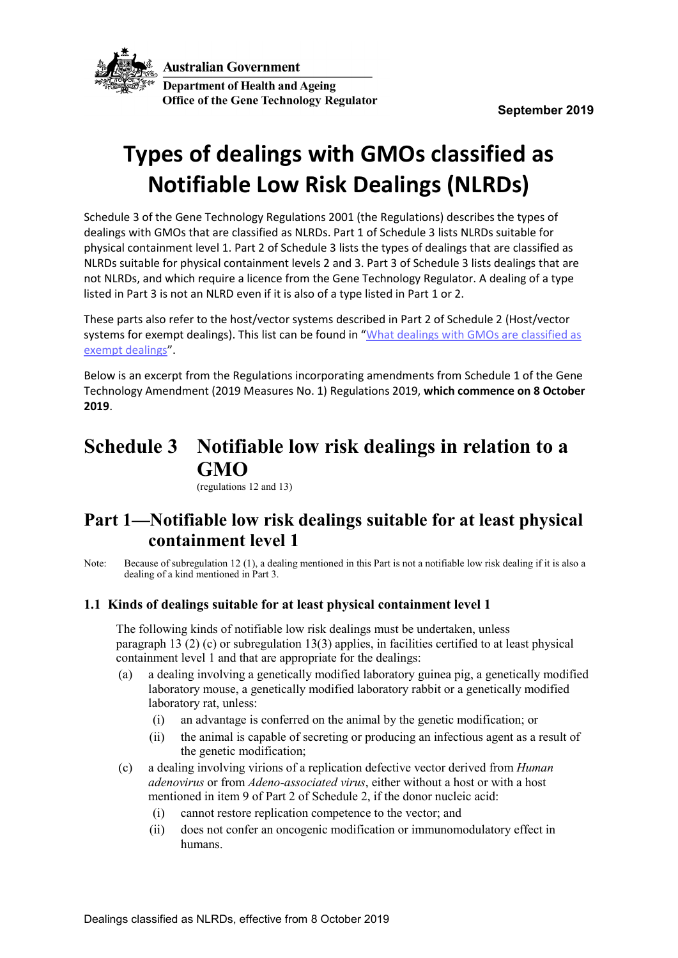

# **Types of dealings with GMOs classified as Notifiable Low Risk Dealings (NLRDs)**

Schedule 3 of the Gene Technology Regulations 2001 (the Regulations) describes the types of dealings with GMOs that are classified as NLRDs. Part 1 of Schedule 3 lists NLRDs suitable for physical containment level 1. Part 2 of Schedule 3 lists the types of dealings that are classified as NLRDs suitable for physical containment levels 2 and 3. Part 3 of Schedule 3 lists dealings that are not NLRDs, and which require a licence from the Gene Technology Regulator. A dealing of a type listed in Part 3 is not an NLRD even if it is also of a type listed in Part 1 or 2.

These parts also refer to the host/vector systems described in Part 2 of Schedule 2 (Host/vector systems for exempt dealings). This list can be found in "What dealings with GMOs are classified as [exempt dealings"](http://www.ogtr.gov.au/internet/ogtr/publishing.nsf/Content/exemptdealclass-2).

Below is an excerpt from the Regulations incorporating amendments from Schedule 1 of the Gene Technology Amendment (2019 Measures No. 1) Regulations 2019, **which commence on 8 October 2019**.

## **Schedule 3 Notifiable low risk dealings in relation to a GMO**

(regulations 12 and 13)

### **Part 1—Notifiable low risk dealings suitable for at least physical containment level 1**

Note: Because of subregulation 12 (1), a dealing mentioned in this Part is not a notifiable low risk dealing if it is also a dealing of a kind mentioned in Part 3.

### **1.1 Kinds of dealings suitable for at least physical containment level 1**

The following kinds of notifiable low risk dealings must be undertaken, unless paragraph 13 (2) (c) or subregulation 13(3) applies, in facilities certified to at least physical containment level 1 and that are appropriate for the dealings:

- (a) a dealing involving a genetically modified laboratory guinea pig, a genetically modified laboratory mouse, a genetically modified laboratory rabbit or a genetically modified laboratory rat, unless:
	- (i) an advantage is conferred on the animal by the genetic modification; or
	- (ii) the animal is capable of secreting or producing an infectious agent as a result of the genetic modification;
- (c) a dealing involving virions of a replication defective vector derived from *Human adenovirus* or from *Adeno-associated virus*, either without a host or with a host mentioned in item 9 of Part 2 of Schedule 2, if the donor nucleic acid:
	- (i) cannot restore replication competence to the vector; and
	- (ii) does not confer an oncogenic modification or immunomodulatory effect in humans.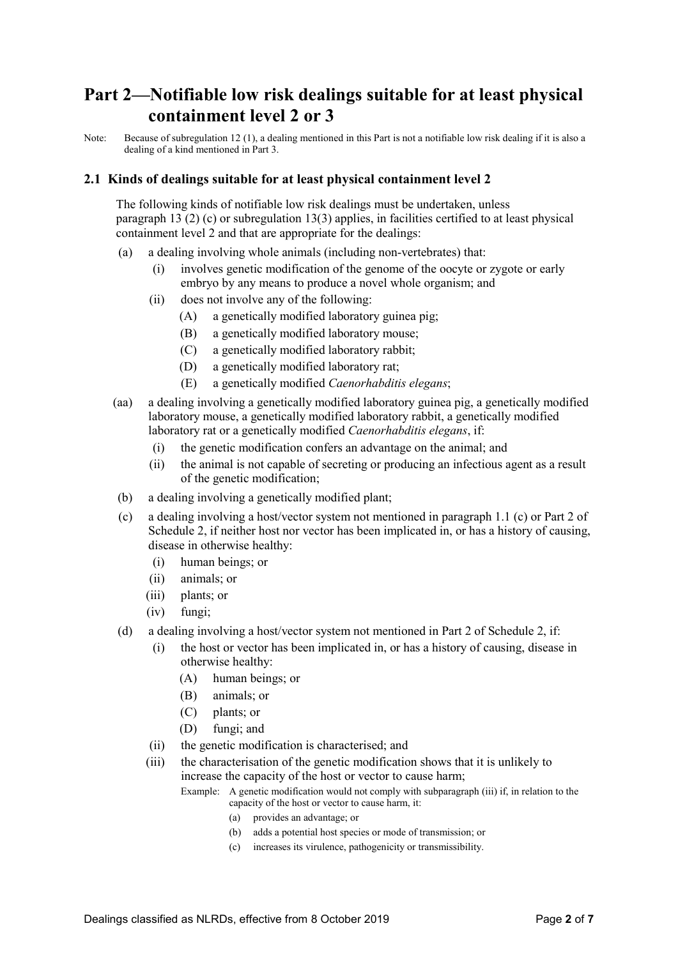### **Part 2—Notifiable low risk dealings suitable for at least physical containment level 2 or 3**

Note: Because of subregulation 12 (1), a dealing mentioned in this Part is not a notifiable low risk dealing if it is also a dealing of a kind mentioned in Part 3.

#### **2.1 Kinds of dealings suitable for at least physical containment level 2**

The following kinds of notifiable low risk dealings must be undertaken, unless paragraph  $13(2)$  (c) or subregulation  $13(3)$  applies, in facilities certified to at least physical containment level 2 and that are appropriate for the dealings:

- (a) a dealing involving whole animals (including non-vertebrates) that:
	- (i) involves genetic modification of the genome of the oocyte or zygote or early embryo by any means to produce a novel whole organism; and
	- (ii) does not involve any of the following:
		- (A) a genetically modified laboratory guinea pig;
		- (B) a genetically modified laboratory mouse;
		- (C) a genetically modified laboratory rabbit;
		- (D) a genetically modified laboratory rat;
		- (E) a genetically modified *Caenorhabditis elegans*;
- (aa) a dealing involving a genetically modified laboratory guinea pig, a genetically modified laboratory mouse, a genetically modified laboratory rabbit, a genetically modified laboratory rat or a genetically modified *Caenorhabditis elegans*, if:
	- (i) the genetic modification confers an advantage on the animal; and
	- (ii) the animal is not capable of secreting or producing an infectious agent as a result of the genetic modification;
- (b) a dealing involving a genetically modified plant;
- (c) a dealing involving a host/vector system not mentioned in paragraph 1.1 (c) or Part 2 of Schedule 2, if neither host nor vector has been implicated in, or has a history of causing, disease in otherwise healthy:
	- (i) human beings; or
	- (ii) animals; or
	- (iii) plants; or
	- (iv) fungi;
- (d) a dealing involving a host/vector system not mentioned in Part 2 of Schedule 2, if:
	- (i) the host or vector has been implicated in, or has a history of causing, disease in otherwise healthy:
		- (A) human beings; or
		- (B) animals; or
		- (C) plants; or
		- (D) fungi; and
	- (ii) the genetic modification is characterised; and
	- (iii) the characterisation of the genetic modification shows that it is unlikely to increase the capacity of the host or vector to cause harm;

Example: A genetic modification would not comply with subparagraph (iii) if, in relation to the capacity of the host or vector to cause harm, it:

- (a) provides an advantage; or
- (b) adds a potential host species or mode of transmission; or
- (c) increases its virulence, pathogenicity or transmissibility.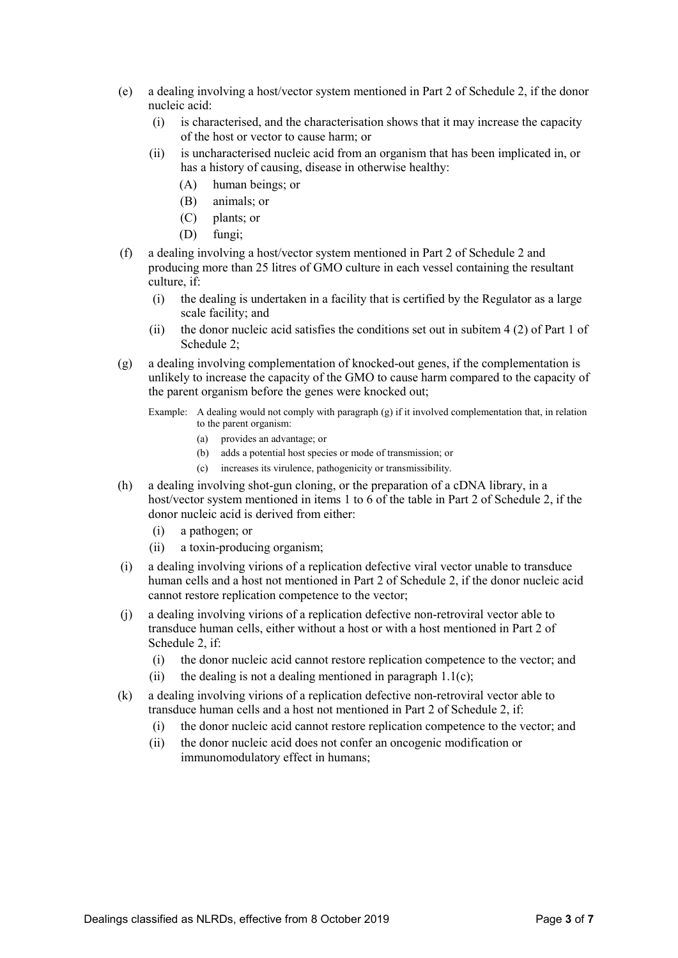- (e) a dealing involving a host/vector system mentioned in Part 2 of Schedule 2, if the donor nucleic acid:
	- (i) is characterised, and the characterisation shows that it may increase the capacity of the host or vector to cause harm; or
	- (ii) is uncharacterised nucleic acid from an organism that has been implicated in, or has a history of causing, disease in otherwise healthy:
		- (A) human beings; or
		- (B) animals; or
		- (C) plants; or
		- (D) fungi;
- (f) a dealing involving a host/vector system mentioned in Part 2 of Schedule 2 and producing more than 25 litres of GMO culture in each vessel containing the resultant culture, if:
	- (i) the dealing is undertaken in a facility that is certified by the Regulator as a large scale facility; and
	- (ii) the donor nucleic acid satisfies the conditions set out in subitem 4 (2) of Part 1 of Schedule 2;
- (g) a dealing involving complementation of knocked-out genes, if the complementation is unlikely to increase the capacity of the GMO to cause harm compared to the capacity of the parent organism before the genes were knocked out;
	- Example: A dealing would not comply with paragraph (g) if it involved complementation that, in relation to the parent organism:
		- (a) provides an advantage; or
		- (b) adds a potential host species or mode of transmission; or
		- (c) increases its virulence, pathogenicity or transmissibility.
- (h) a dealing involving shot-gun cloning, or the preparation of a cDNA library, in a host/vector system mentioned in items 1 to 6 of the table in Part 2 of Schedule 2, if the donor nucleic acid is derived from either:
	- (i) a pathogen; or
	- (ii) a toxin-producing organism;
- (i) a dealing involving virions of a replication defective viral vector unable to transduce human cells and a host not mentioned in Part 2 of Schedule 2, if the donor nucleic acid cannot restore replication competence to the vector;
- (j) a dealing involving virions of a replication defective non-retroviral vector able to transduce human cells, either without a host or with a host mentioned in Part 2 of Schedule 2, if:
	- (i) the donor nucleic acid cannot restore replication competence to the vector; and
	- (ii) the dealing is not a dealing mentioned in paragraph  $1.1(c)$ ;
- (k) a dealing involving virions of a replication defective non-retroviral vector able to transduce human cells and a host not mentioned in Part 2 of Schedule 2, if:
	- (i) the donor nucleic acid cannot restore replication competence to the vector; and
	- (ii) the donor nucleic acid does not confer an oncogenic modification or immunomodulatory effect in humans;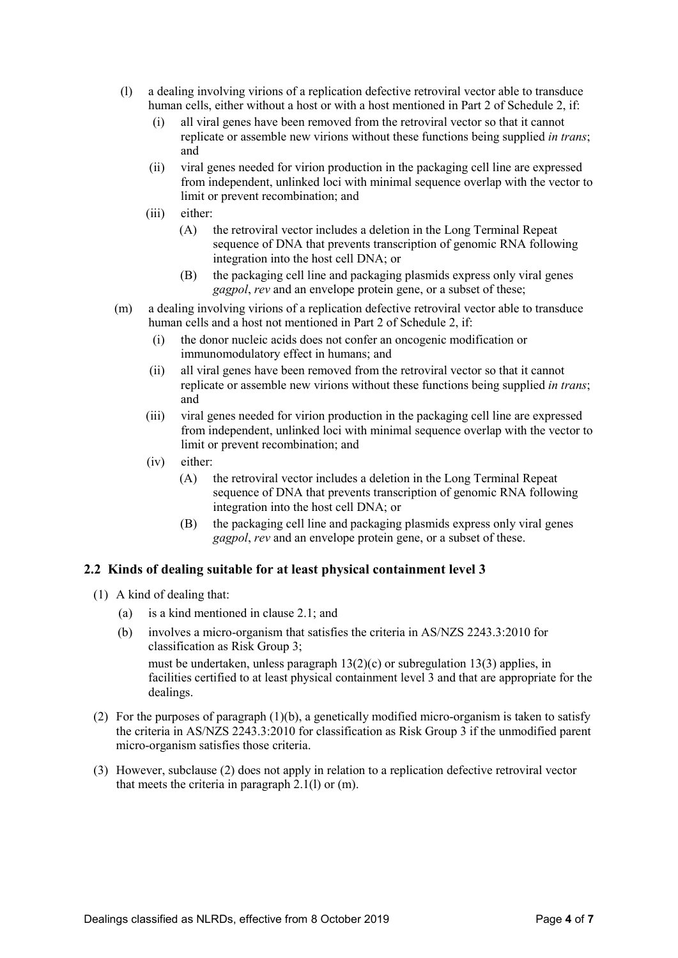- (l) a dealing involving virions of a replication defective retroviral vector able to transduce human cells, either without a host or with a host mentioned in Part 2 of Schedule 2, if:
	- (i) all viral genes have been removed from the retroviral vector so that it cannot replicate or assemble new virions without these functions being supplied *in trans*; and
	- (ii) viral genes needed for virion production in the packaging cell line are expressed from independent, unlinked loci with minimal sequence overlap with the vector to limit or prevent recombination; and
	- (iii) either:
		- (A) the retroviral vector includes a deletion in the Long Terminal Repeat sequence of DNA that prevents transcription of genomic RNA following integration into the host cell DNA; or
		- (B) the packaging cell line and packaging plasmids express only viral genes *gagpol*, *rev* and an envelope protein gene, or a subset of these;
- (m) a dealing involving virions of a replication defective retroviral vector able to transduce human cells and a host not mentioned in Part 2 of Schedule 2, if:
	- (i) the donor nucleic acids does not confer an oncogenic modification or immunomodulatory effect in humans; and
	- (ii) all viral genes have been removed from the retroviral vector so that it cannot replicate or assemble new virions without these functions being supplied *in trans*; and
	- (iii) viral genes needed for virion production in the packaging cell line are expressed from independent, unlinked loci with minimal sequence overlap with the vector to limit or prevent recombination; and
	- (iv) either:
		- (A) the retroviral vector includes a deletion in the Long Terminal Repeat sequence of DNA that prevents transcription of genomic RNA following integration into the host cell DNA; or
		- (B) the packaging cell line and packaging plasmids express only viral genes *gagpol*, *rev* and an envelope protein gene, or a subset of these.

#### **2.2 Kinds of dealing suitable for at least physical containment level 3**

- (1) A kind of dealing that:
	- (a) is a kind mentioned in clause 2.1; and
	- (b) involves a micro-organism that satisfies the criteria in AS/NZS 2243.3:2010 for classification as Risk Group 3; must be undertaken, unless paragraph 13(2)(c) or subregulation 13(3) applies, in facilities certified to at least physical containment level 3 and that are appropriate for the dealings.
- (2) For the purposes of paragraph (1)(b), a genetically modified micro-organism is taken to satisfy the criteria in AS/NZS 2243.3:2010 for classification as Risk Group 3 if the unmodified parent micro-organism satisfies those criteria.
- (3) However, subclause (2) does not apply in relation to a replication defective retroviral vector that meets the criteria in paragraph 2.1(l) or (m).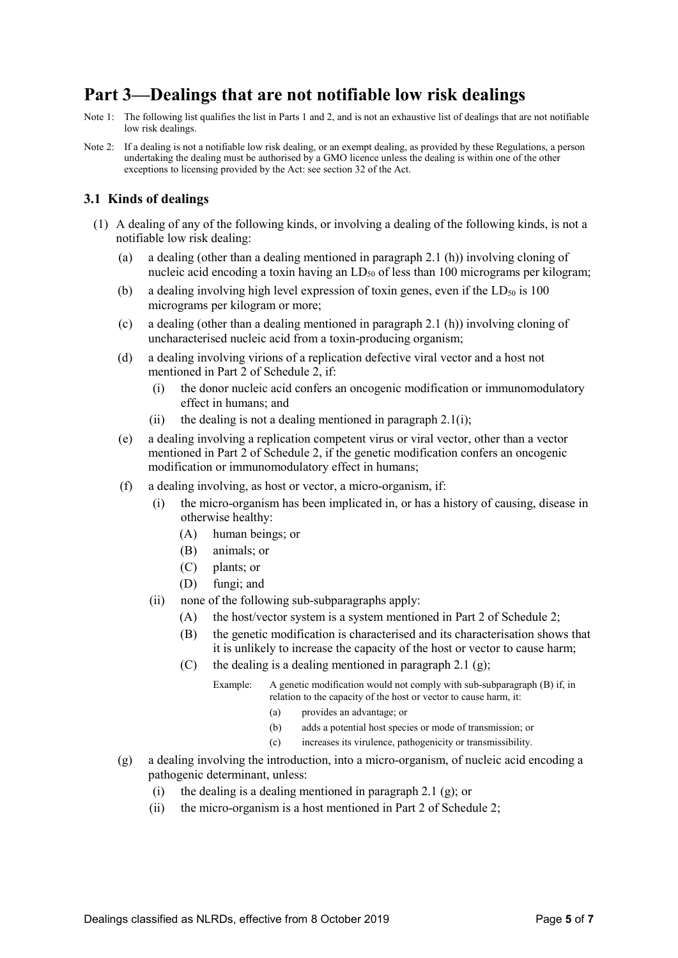### **Part 3—Dealings that are not notifiable low risk dealings**

- Note 1: The following list qualifies the list in Parts 1 and 2, and is not an exhaustive list of dealings that are not notifiable low risk dealings.
- Note 2: If a dealing is not a notifiable low risk dealing, or an exempt dealing, as provided by these Regulations, a person undertaking the dealing must be authorised by a GMO licence unless the dealing is within one of the other exceptions to licensing provided by the Act: see section 32 of the Act.

#### **3.1 Kinds of dealings**

- (1) A dealing of any of the following kinds, or involving a dealing of the following kinds, is not a notifiable low risk dealing:
	- (a) a dealing (other than a dealing mentioned in paragraph 2.1 (h)) involving cloning of nucleic acid encoding a toxin having an  $LD<sub>50</sub>$  of less than 100 micrograms per kilogram;
	- (b) a dealing involving high level expression of toxin genes, even if the  $LD_{50}$  is 100 micrograms per kilogram or more;
	- (c) a dealing (other than a dealing mentioned in paragraph 2.1 (h)) involving cloning of uncharacterised nucleic acid from a toxin-producing organism;
	- (d) a dealing involving virions of a replication defective viral vector and a host not mentioned in Part 2 of Schedule 2, if:
		- (i) the donor nucleic acid confers an oncogenic modification or immunomodulatory effect in humans; and
		- (ii) the dealing is not a dealing mentioned in paragraph  $2.1(i)$ ;
	- (e) a dealing involving a replication competent virus or viral vector, other than a vector mentioned in Part 2 of Schedule 2, if the genetic modification confers an oncogenic modification or immunomodulatory effect in humans;
	- (f) a dealing involving, as host or vector, a micro-organism, if:
		- (i) the micro-organism has been implicated in, or has a history of causing, disease in otherwise healthy:
			- (A) human beings; or
			- (B) animals; or
			- (C) plants; or
			- (D) fungi; and
		- (ii) none of the following sub-subparagraphs apply:
			- (A) the host/vector system is a system mentioned in Part 2 of Schedule 2;
			- (B) the genetic modification is characterised and its characterisation shows that it is unlikely to increase the capacity of the host or vector to cause harm;
			- (C) the dealing is a dealing mentioned in paragraph 2.1 (g);

Example: A genetic modification would not comply with sub-subparagraph (B) if, in relation to the capacity of the host or vector to cause harm, it:

- (a) provides an advantage; or
- (b) adds a potential host species or mode of transmission; or
- (c) increases its virulence, pathogenicity or transmissibility.
- (g) a dealing involving the introduction, into a micro-organism, of nucleic acid encoding a pathogenic determinant, unless:
	- (i) the dealing is a dealing mentioned in paragraph 2.1 (g); or
	- (ii) the micro-organism is a host mentioned in Part 2 of Schedule 2;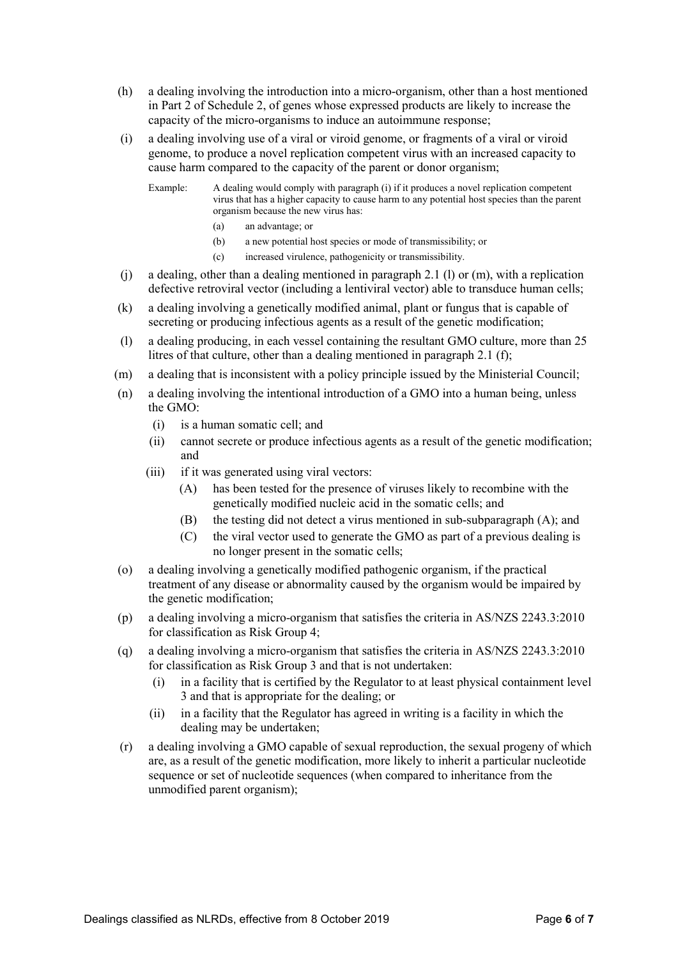- (h) a dealing involving the introduction into a micro-organism, other than a host mentioned in Part 2 of Schedule 2, of genes whose expressed products are likely to increase the capacity of the micro-organisms to induce an autoimmune response;
- (i) a dealing involving use of a viral or viroid genome, or fragments of a viral or viroid genome, to produce a novel replication competent virus with an increased capacity to cause harm compared to the capacity of the parent or donor organism;

Example: A dealing would comply with paragraph (i) if it produces a novel replication competent virus that has a higher capacity to cause harm to any potential host species than the parent organism because the new virus has:

- (a) an advantage; or
- (b) a new potential host species or mode of transmissibility; or
- (c) increased virulence, pathogenicity or transmissibility.
- (j) a dealing, other than a dealing mentioned in paragraph 2.1 (l) or (m), with a replication defective retroviral vector (including a lentiviral vector) able to transduce human cells;
- (k) a dealing involving a genetically modified animal, plant or fungus that is capable of secreting or producing infectious agents as a result of the genetic modification;
- (l) a dealing producing, in each vessel containing the resultant GMO culture, more than 25 litres of that culture, other than a dealing mentioned in paragraph 2.1 (f);
- (m) a dealing that is inconsistent with a policy principle issued by the Ministerial Council;
- (n) a dealing involving the intentional introduction of a GMO into a human being, unless the GMO:
	- (i) is a human somatic cell; and
	- (ii) cannot secrete or produce infectious agents as a result of the genetic modification; and
	- (iii) if it was generated using viral vectors:
		- (A) has been tested for the presence of viruses likely to recombine with the genetically modified nucleic acid in the somatic cells; and
		- (B) the testing did not detect a virus mentioned in sub-subparagraph (A); and
		- (C) the viral vector used to generate the GMO as part of a previous dealing is no longer present in the somatic cells;
- (o) a dealing involving a genetically modified pathogenic organism, if the practical treatment of any disease or abnormality caused by the organism would be impaired by the genetic modification;
- (p) a dealing involving a micro-organism that satisfies the criteria in AS/NZS 2243.3:2010 for classification as Risk Group 4;
- (q) a dealing involving a micro-organism that satisfies the criteria in AS/NZS 2243.3:2010 for classification as Risk Group 3 and that is not undertaken:
	- (i) in a facility that is certified by the Regulator to at least physical containment level 3 and that is appropriate for the dealing; or
	- (ii) in a facility that the Regulator has agreed in writing is a facility in which the dealing may be undertaken;
- (r) a dealing involving a GMO capable of sexual reproduction, the sexual progeny of which are, as a result of the genetic modification, more likely to inherit a particular nucleotide sequence or set of nucleotide sequences (when compared to inheritance from the unmodified parent organism);